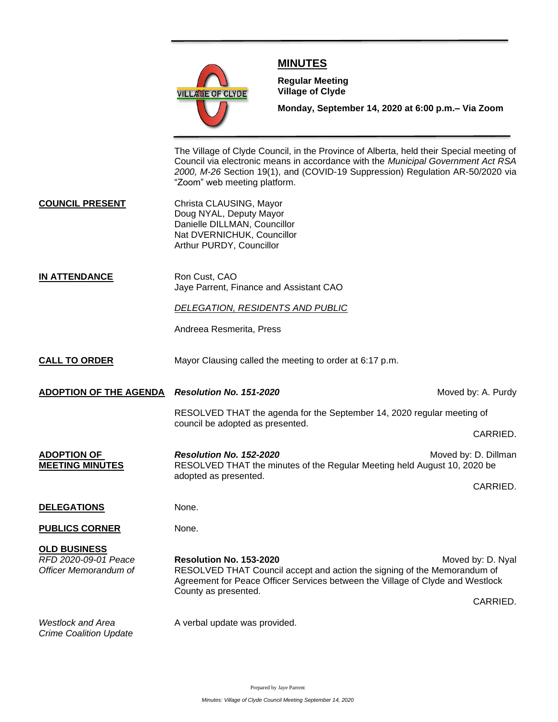

## **MINUTES**

**Meeting**

**Regular Meeting Village of Clyde**

**Monday, September 14, 2020 at 6:00 p.m.– Via Zoom** 

The Village of Clyde Council, in the Province of Alberta, held their Special meeting of Council via electronic means in accordance with the *Municipal Government Act RSA 2000, M-26* Section 19(1), and (COVID-19 Suppression) Regulation AR-50/2020 via "Zoom" web meeting platform.

- **COUNCIL PRESENT** Christa CLAUSING, Mayor Doug NYAL, Deputy Mayor Danielle DILLMAN, Councillor Nat DVERNICHUK, Councillor Arthur PURDY, Councillor
- **IN ATTENDANCE** Ron Cust, CAO Jaye Parrent, Finance and Assistant CAO

## *DELEGATION, RESIDENTS AND PUBLIC*

Andreea Resmerita, Press

- **CALL TO ORDER** Mayor Clausing called the meeting to order at 6:17 p.m.
- **ADOPTION OF THE AGENDA** *Resolution No. 151-2020* **Moved by: A. Purdy** *Moved by: A. Purdy*

RESOLVED THAT the agenda for the September 14, 2020 regular meeting of council be adopted as presented.

CARRIED.

**ADOPTION OF Resolution No. 152-2020** *Resolution No. 152-2020 Resolution No. 152-2020**Moved by: D. Dillman* **MEETING MINUTES** RESOLVED THAT the minutes of the Regular Meeting held August 10, 2020 be adopted as presented. CARRIED.

## **DELEGATIONS** None.

**PUBLICS CORNER** None.

**OLD BUSINESS** *RFD 2020-09-01 Peace* **Resolution No. 153-2020** Moved by: D. Nyal *Officer Memorandum of* RESOLVED THAT Council accept and action the signing of the Memorandum of Agreement for Peace Officer Services between the Village of Clyde and Westlock County as presented. CARRIED.

*Crime Coalition Update*

*Westlock and Area* A verbal update was provided.

Prepared by Jaye Parrent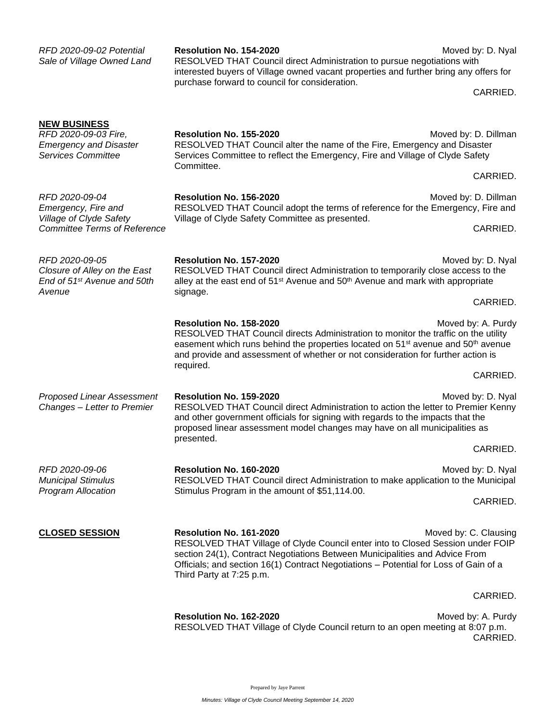| RFD 2020-09-02 Potential<br>Sale of Village Owned Land                                                    | <b>Resolution No. 154-2020</b><br>RESOLVED THAT Council direct Administration to pursue negotiations with<br>interested buyers of Village owned vacant properties and further bring any offers for<br>purchase forward to council for consideration.                                                          | Moved by: D. Nyal<br>CARRIED.  |
|-----------------------------------------------------------------------------------------------------------|---------------------------------------------------------------------------------------------------------------------------------------------------------------------------------------------------------------------------------------------------------------------------------------------------------------|--------------------------------|
| <b>NEW BUSINESS</b><br>RFD 2020-09-03 Fire,<br><b>Emergency and Disaster</b><br><b>Services Committee</b> | Resolution No. 155-2020<br>RESOLVED THAT Council alter the name of the Fire, Emergency and Disaster<br>Services Committee to reflect the Emergency, Fire and Village of Clyde Safety<br>Committee.                                                                                                            | Moved by: D. Dillman           |
|                                                                                                           |                                                                                                                                                                                                                                                                                                               | CARRIED.                       |
| RFD 2020-09-04<br>Emergency, Fire and<br>Village of Clyde Safety<br><b>Committee Terms of Reference</b>   | Resolution No. 156-2020<br>RESOLVED THAT Council adopt the terms of reference for the Emergency, Fire and<br>Village of Clyde Safety Committee as presented.                                                                                                                                                  | Moved by: D. Dillman           |
|                                                                                                           |                                                                                                                                                                                                                                                                                                               | CARRIED.                       |
| RFD 2020-09-05<br>Closure of Alley on the East<br>End of 51 <sup>st</sup> Avenue and 50th<br>Avenue       | Resolution No. 157-2020<br>Moved by: D. Nyal<br>RESOLVED THAT Council direct Administration to temporarily close access to the<br>alley at the east end of 51 <sup>st</sup> Avenue and 50 <sup>th</sup> Avenue and mark with appropriate                                                                      |                                |
|                                                                                                           | signage.                                                                                                                                                                                                                                                                                                      | CARRIED.                       |
|                                                                                                           | Resolution No. 158-2020<br>RESOLVED THAT Council directs Administration to monitor the traffic on the utility<br>easement which runs behind the properties located on 51 <sup>st</sup> avenue and 50 <sup>th</sup> avenue<br>and provide and assessment of whether or not consideration for further action is | Moved by: A. Purdy             |
|                                                                                                           | required.                                                                                                                                                                                                                                                                                                     | CARRIED.                       |
| <b>Proposed Linear Assessment</b><br>Changes - Letter to Premier                                          | Resolution No. 159-2020<br>Moved by: D. Nyal<br>RESOLVED THAT Council direct Administration to action the letter to Premier Kenny<br>and other government officials for signing with regards to the impacts that the<br>proposed linear assessment model changes may have on all municipalities as            |                                |
|                                                                                                           | presented.                                                                                                                                                                                                                                                                                                    | CARRIED.                       |
| RFD 2020-09-06<br><b>Municipal Stimulus</b><br><b>Program Allocation</b>                                  | Resolution No. 160-2020<br>RESOLVED THAT Council direct Administration to make application to the Municipal                                                                                                                                                                                                   | Moved by: D. Nyal              |
|                                                                                                           | Stimulus Program in the amount of \$51,114.00.                                                                                                                                                                                                                                                                | CARRIED.                       |
| <b>CLOSED SESSION</b>                                                                                     | Resolution No. 161-2020<br>RESOLVED THAT Village of Clyde Council enter into to Closed Session under FOIP<br>section 24(1), Contract Negotiations Between Municipalities and Advice From<br>Officials; and section 16(1) Contract Negotiations - Potential for Loss of Gain of a<br>Third Party at 7:25 p.m.  | Moved by: C. Clausing          |
|                                                                                                           |                                                                                                                                                                                                                                                                                                               | CARRIED.                       |
|                                                                                                           | Resolution No. 162-2020<br>RESOLVED THAT Village of Clyde Council return to an open meeting at 8:07 p.m.                                                                                                                                                                                                      | Moved by: A. Purdy<br>CARRIED. |

Prepared by Jaye Parrent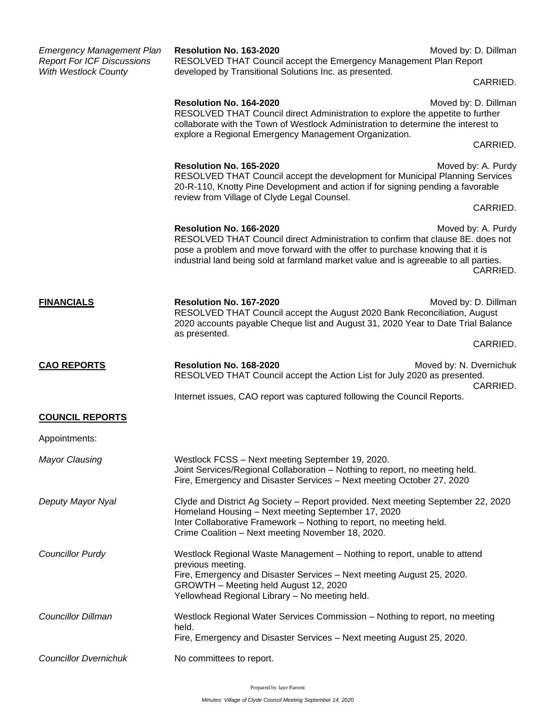| <b>Emergency Management Plan</b><br><b>Report For ICF Discussions</b> | Resolution No. 163-2020<br>RESOLVED THAT Council accept the Emergency Management Plan Report                                                                                                                                                                                        | Moved by: D. Dillman                |
|-----------------------------------------------------------------------|-------------------------------------------------------------------------------------------------------------------------------------------------------------------------------------------------------------------------------------------------------------------------------------|-------------------------------------|
| <b>With Westlock County</b>                                           | developed by Transitional Solutions Inc. as presented.                                                                                                                                                                                                                              | CARRIED.                            |
|                                                                       | Resolution No. 164-2020<br>RESOLVED THAT Council direct Administration to explore the appetite to further<br>collaborate with the Town of Westlock Administration to determine the interest to                                                                                      |                                     |
|                                                                       | explore a Regional Emergency Management Organization.                                                                                                                                                                                                                               | CARRIED.                            |
|                                                                       | Resolution No. 165-2020<br>RESOLVED THAT Council accept the development for Municipal Planning Services<br>20-R-110, Knotty Pine Development and action if for signing pending a favorable                                                                                          | Moved by: A. Purdy                  |
|                                                                       | review from Village of Clyde Legal Counsel.                                                                                                                                                                                                                                         |                                     |
|                                                                       | Resolution No. 166-2020<br>RESOLVED THAT Council direct Administration to confirm that clause 8E. does not<br>pose a problem and move forward with the offer to purchase knowing that it is<br>industrial land being sold at farmland market value and is agreeable to all parties. | Moved by: A. Purdy<br>CARRIED.      |
| <b>FINANCIALS</b>                                                     | Resolution No. 167-2020<br>RESOLVED THAT Council accept the August 2020 Bank Reconciliation, August<br>2020 accounts payable Cheque list and August 31, 2020 Year to Date Trial Balance<br>as presented.                                                                            | Moved by: D. Dillman                |
|                                                                       |                                                                                                                                                                                                                                                                                     | CARRIED.                            |
|                                                                       |                                                                                                                                                                                                                                                                                     |                                     |
| <b>CAO REPORTS</b>                                                    | Resolution No. 168-2020<br>RESOLVED THAT Council accept the Action List for July 2020 as presented.                                                                                                                                                                                 | Moved by: N. Dvernichuk<br>CARRIED. |
|                                                                       | Internet issues, CAO report was captured following the Council Reports.                                                                                                                                                                                                             |                                     |
| <b>COUNCIL REPORTS</b>                                                |                                                                                                                                                                                                                                                                                     |                                     |
| Appointments:                                                         |                                                                                                                                                                                                                                                                                     |                                     |
| <b>Mayor Clausing</b>                                                 | Westlock FCSS - Next meeting September 19, 2020.<br>Joint Services/Regional Collaboration - Nothing to report, no meeting held.<br>Fire, Emergency and Disaster Services - Next meeting October 27, 2020                                                                            |                                     |
| Deputy Mayor Nyal                                                     | Clyde and District Ag Society - Report provided. Next meeting September 22, 2020<br>Homeland Housing - Next meeting September 17, 2020<br>Inter Collaborative Framework - Nothing to report, no meeting held.<br>Crime Coalition - Next meeting November 18, 2020.                  |                                     |
| <b>Councillor Purdy</b>                                               | Westlock Regional Waste Management – Nothing to report, unable to attend<br>previous meeting.<br>Fire, Emergency and Disaster Services - Next meeting August 25, 2020.<br>GROWTH - Meeting held August 12, 2020<br>Yellowhead Regional Library - No meeting held.                   |                                     |
| <b>Councillor Dillman</b>                                             | Westlock Regional Water Services Commission - Nothing to report, no meeting<br>held.                                                                                                                                                                                                |                                     |
| <b>Councillor Dvernichuk</b>                                          | Fire, Emergency and Disaster Services - Next meeting August 25, 2020.<br>No committees to report.                                                                                                                                                                                   |                                     |